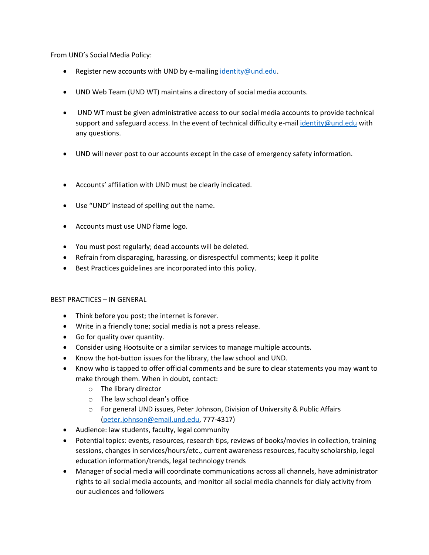From UND's Social Media Policy:

- Register new accounts with UND by e-mailing [identity@und.edu.](mailto:identity@und.edu)
- UND Web Team (UND WT) maintains a directory of social media accounts.
- UND WT must be given administrative access to our social media accounts to provide technical support and safeguard access. In the event of technical difficulty e-mai[l identity@und.edu](mailto:identity@und.edu) with any questions.
- UND will never post to our accounts except in the case of emergency safety information.
- Accounts' affiliation with UND must be clearly indicated.
- Use "UND" instead of spelling out the name.
- Accounts must use UND flame logo.
- You must post regularly; dead accounts will be deleted.
- Refrain from disparaging, harassing, or disrespectful comments; keep it polite
- Best Practices guidelines are incorporated into this policy.

### BEST PRACTICES – IN GENERAL

- Think before you post; the internet is forever.
- Write in a friendly tone; social media is not a press release.
- Go for quality over quantity.
- Consider using Hootsuite or a similar services to manage multiple accounts.
- Know the hot-button issues for the library, the law school and UND.
- Know who is tapped to offer official comments and be sure to clear statements you may want to make through them. When in doubt, contact:
	- o The library director
	- o The law school dean's office
	- o For general UND issues, Peter Johnson, Division of University & Public Affairs [\(peter.johnson@email.und.edu,](mailto:peter.johnson@email.und.edu) 777-4317)
- Audience: law students, faculty, legal community
- Potential topics: events, resources, research tips, reviews of books/movies in collection, training sessions, changes in services/hours/etc., current awareness resources, faculty scholarship, legal education information/trends, legal technology trends
- Manager of social media will coordinate communications across all channels, have administrator rights to all social media accounts, and monitor all social media channels for dialy activity from our audiences and followers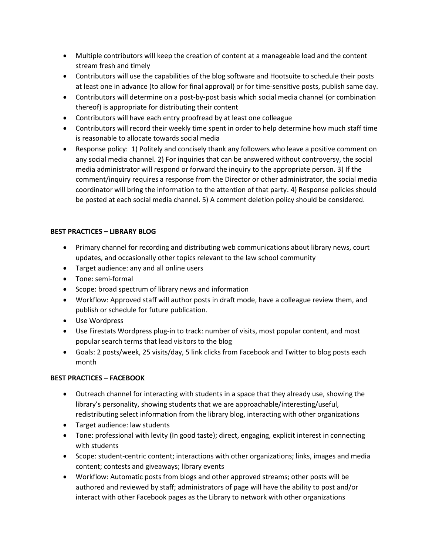- Multiple contributors will keep the creation of content at a manageable load and the content stream fresh and timely
- Contributors will use the capabilities of the blog software and Hootsuite to schedule their posts at least one in advance (to allow for final approval) or for time-sensitive posts, publish same day.
- Contributors will determine on a post-by-post basis which social media channel (or combination thereof) is appropriate for distributing their content
- Contributors will have each entry proofread by at least one colleague
- Contributors will record their weekly time spent in order to help determine how much staff time is reasonable to allocate towards social media
- Response policy: 1) Politely and concisely thank any followers who leave a positive comment on any social media channel. 2) For inquiries that can be answered without controversy, the social media administrator will respond or forward the inquiry to the appropriate person. 3) If the comment/inquiry requires a response from the Director or other administrator, the social media coordinator will bring the information to the attention of that party. 4) Response policies should be posted at each social media channel. 5) A comment deletion policy should be considered.

# **BEST PRACTICES – LIBRARY BLOG**

- Primary channel for recording and distributing web communications about library news, court updates, and occasionally other topics relevant to the law school community
- Target audience: any and all online users
- Tone: semi-formal
- Scope: broad spectrum of library news and information
- Workflow: Approved staff will author posts in draft mode, have a colleague review them, and publish or schedule for future publication.
- Use Wordpress
- Use Firestats Wordpress plug-in to track: number of visits, most popular content, and most popular search terms that lead visitors to the blog
- Goals: 2 posts/week, 25 visits/day, 5 link clicks from Facebook and Twitter to blog posts each month

# **BEST PRACTICES – FACEBOOK**

- Outreach channel for interacting with students in a space that they already use, showing the library's personality, showing students that we are approachable/interesting/useful, redistributing select information from the library blog, interacting with other organizations
- Target audience: law students
- Tone: professional with levity (In good taste); direct, engaging, explicit interest in connecting with students
- Scope: student-centric content; interactions with other organizations; links, images and media content; contests and giveaways; library events
- Workflow: Automatic posts from blogs and other approved streams; other posts will be authored and reviewed by staff; administrators of page will have the ability to post and/or interact with other Facebook pages as the Library to network with other organizations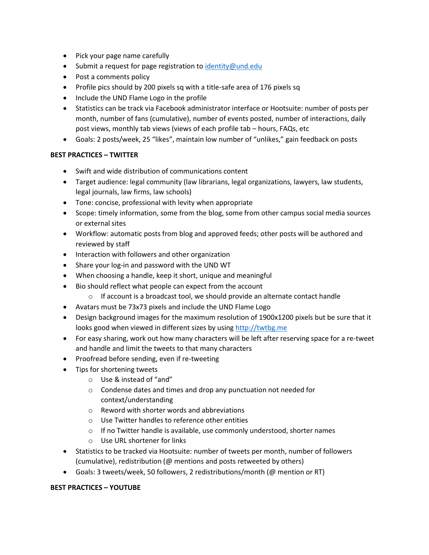- Pick your page name carefully
- $\bullet$  Submit a request for page registration t[o identity@und.edu](mailto:identity@und.edu)
- Post a comments policy
- Profile pics should by 200 pixels sq with a title-safe area of 176 pixels sq
- Include the UND Flame Logo in the profile
- Statistics can be track via Facebook administrator interface or Hootsuite: number of posts per month, number of fans (cumulative), number of events posted, number of interactions, daily post views, monthly tab views (views of each profile tab – hours, FAQs, etc
- Goals: 2 posts/week, 25 "likes", maintain low number of "unlikes," gain feedback on posts

## **BEST PRACTICES – TWITTER**

- Swift and wide distribution of communications content
- Target audience: legal community (law librarians, legal organizations, lawyers, law students, legal journals, law firms, law schools)
- Tone: concise, professional with levity when appropriate
- Scope: timely information, some from the blog, some from other campus social media sources or external sites
- Workflow: automatic posts from blog and approved feeds; other posts will be authored and reviewed by staff
- Interaction with followers and other organization
- Share your log-in and password with the UND WT
- When choosing a handle, keep it short, unique and meaningful
- Bio should reflect what people can expect from the account
	- o If account is a broadcast tool, we should provide an alternate contact handle
- Avatars must be 73x73 pixels and include the UND Flame Logo
- Design background images for the maximum resolution of 1900x1200 pixels but be sure that it looks good when viewed in different sizes by using [http://twtbg.me](http://twtbg.me/)
- For easy sharing, work out how many characters will be left after reserving space for a re-tweet and handle and limit the tweets to that many characters
- Proofread before sending, even if re-tweeting
- Tips for shortening tweets
	- o Use & instead of "and"
	- o Condense dates and times and drop any punctuation not needed for context/understanding
	- o Reword with shorter words and abbreviations
	- o Use Twitter handles to reference other entities
	- $\circ$  If no Twitter handle is available, use commonly understood, shorter names
	- o Use URL shortener for links
- Statistics to be tracked via Hootsuite: number of tweets per month, number of followers (cumulative), redistribution (@ mentions and posts retweeted by others)
- Goals: 3 tweets/week, 50 followers, 2 redistributions/month (@ mention or RT)

### **BEST PRACTICES – YOUTUBE**